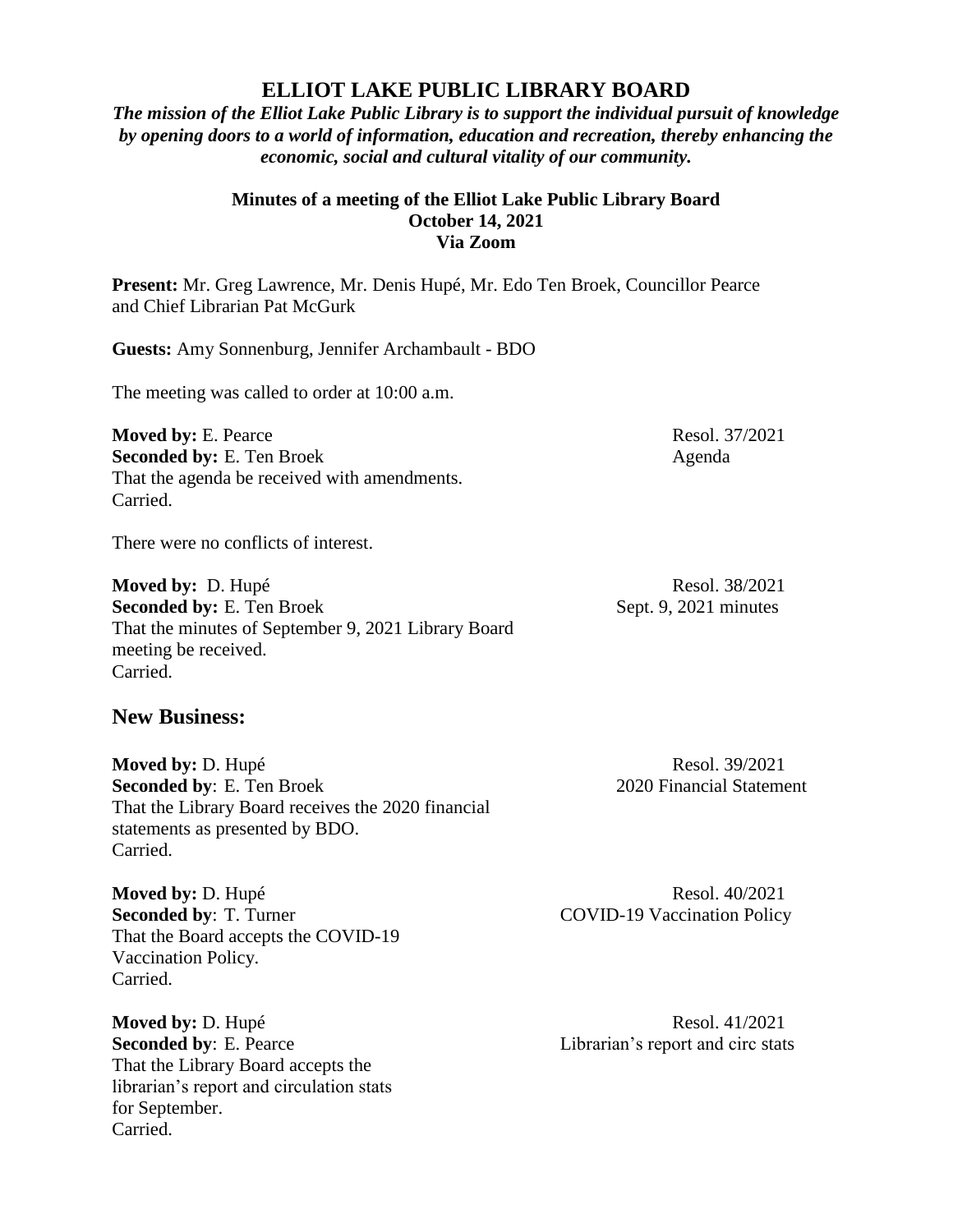## **ELLIOT LAKE PUBLIC LIBRARY BOARD**

*The mission of the Elliot Lake Public Library is to support the individual pursuit of knowledge by opening doors to a world of information, education and recreation, thereby enhancing the economic, social and cultural vitality of our community.*

## **Minutes of a meeting of the Elliot Lake Public Library Board October 14, 2021 Via Zoom**

**Present:** Mr. Greg Lawrence, Mr. Denis Hupé, Mr. Edo Ten Broek, Councillor Pearce and Chief Librarian Pat McGurk

**Guests:** Amy Sonnenburg, Jennifer Archambault - BDO

The meeting was called to order at 10:00 a.m.

**Moved by:** E. Pearce Resol. 37/2021 **Seconded by:** E. Ten Broek Agenda That the agenda be received with amendments. Carried.

There were no conflicts of interest.

**Moved by:** D. Hupé Resol. 38/2021 **Seconded by:** E. Ten Broek Sept. 9, 2021 minutes That the minutes of September 9, 2021 Library Board meeting be received. Carried.

## **New Business:**

**Moved by: D. Hupé Resol. 39/2021 Seconded by**: E. Ten Broek 2020 Financial Statement That the Library Board receives the 2020 financial statements as presented by BDO. Carried.

**Moved by: D. Hupé Resol. 40/2021 Seconded by: T. Turner COVID-19 Vaccination Policy** That the Board accepts the COVID-19 Vaccination Policy. Carried.

**Seconded by:** E. Pearce Librarian's report and circ stats That the Library Board accepts the librarian's report and circulation stats for September. Carried.

**Moved by: D. Hupé Resol. 41/2021**